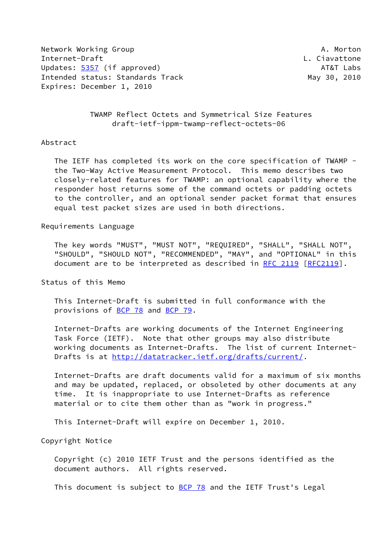Network Working Group **A. Morton** A. Morton Internet-Draft L. Ciavattone Updates: [5357](https://datatracker.ietf.org/doc/pdf/rfc5357) (if approved) AT&T Labs Intended status: Standards Track May 30, 2010 Expires: December 1, 2010

 TWAMP Reflect Octets and Symmetrical Size Features draft-ietf-ippm-twamp-reflect-octets-06

#### Abstract

 The IETF has completed its work on the core specification of TWAMP the Two-Way Active Measurement Protocol. This memo describes two closely-related features for TWAMP: an optional capability where the responder host returns some of the command octets or padding octets to the controller, and an optional sender packet format that ensures equal test packet sizes are used in both directions.

#### Requirements Language

 The key words "MUST", "MUST NOT", "REQUIRED", "SHALL", "SHALL NOT", "SHOULD", "SHOULD NOT", "RECOMMENDED", "MAY", and "OPTIONAL" in this document are to be interpreted as described in [RFC 2119 \[RFC2119](https://datatracker.ietf.org/doc/pdf/rfc2119)].

Status of this Memo

 This Internet-Draft is submitted in full conformance with the provisions of [BCP 78](https://datatracker.ietf.org/doc/pdf/bcp78) and [BCP 79](https://datatracker.ietf.org/doc/pdf/bcp79).

 Internet-Drafts are working documents of the Internet Engineering Task Force (IETF). Note that other groups may also distribute working documents as Internet-Drafts. The list of current Internet Drafts is at<http://datatracker.ietf.org/drafts/current/>.

 Internet-Drafts are draft documents valid for a maximum of six months and may be updated, replaced, or obsoleted by other documents at any time. It is inappropriate to use Internet-Drafts as reference material or to cite them other than as "work in progress."

This Internet-Draft will expire on December 1, 2010.

Copyright Notice

 Copyright (c) 2010 IETF Trust and the persons identified as the document authors. All rights reserved.

This document is subject to **[BCP 78](https://datatracker.ietf.org/doc/pdf/bcp78)** and the IETF Trust's Legal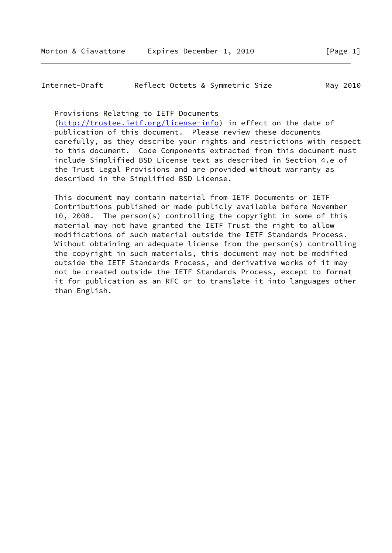Internet-Draft Reflect Octets & Symmetric Size May 2010

Provisions Relating to IETF Documents

 [\(http://trustee.ietf.org/license-info](http://trustee.ietf.org/license-info)) in effect on the date of publication of this document. Please review these documents carefully, as they describe your rights and restrictions with respect to this document. Code Components extracted from this document must include Simplified BSD License text as described in Section 4.e of the Trust Legal Provisions and are provided without warranty as described in the Simplified BSD License.

 This document may contain material from IETF Documents or IETF Contributions published or made publicly available before November 10, 2008. The person(s) controlling the copyright in some of this material may not have granted the IETF Trust the right to allow modifications of such material outside the IETF Standards Process. Without obtaining an adequate license from the person(s) controlling the copyright in such materials, this document may not be modified outside the IETF Standards Process, and derivative works of it may not be created outside the IETF Standards Process, except to format it for publication as an RFC or to translate it into languages other than English.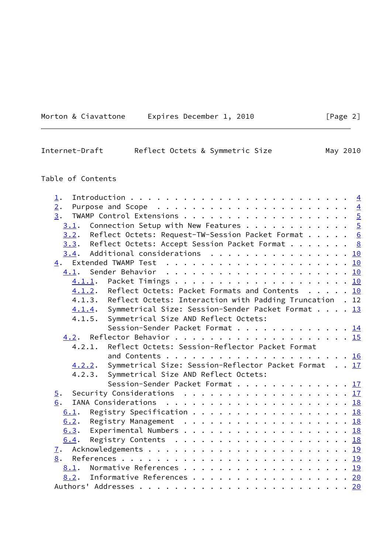|  | Morton & Ciavattone | Expires December 1, 2010 |  |
|--|---------------------|--------------------------|--|
|  |                     |                          |  |

| Reflect Octets & Symmetric Size<br>Internet-Draft | May 2010 |
|---------------------------------------------------|----------|
|---------------------------------------------------|----------|

# Table of Contents

| $\perp$ .                                                              |  |
|------------------------------------------------------------------------|--|
| 2.                                                                     |  |
| 3.                                                                     |  |
| Connection Setup with New Features $\frac{5}{2}$<br>3.1.               |  |
| 3.2. Reflect Octets: Request-TW-Session Packet Format $6$              |  |
| $3.3$ . Reflect Octets: Accept Session Packet Format 8                 |  |
| $3.4$ . Additional considerations 10                                   |  |
|                                                                        |  |
|                                                                        |  |
| 4.1.1.                                                                 |  |
| Reflect Octets: Packet Formats and Contents 10<br>4.1.2.               |  |
| 4.1.3.<br>Reflect Octets: Interaction with Padding Truncation . 12     |  |
| 4.1.4. Symmetrical Size: Session-Sender Packet Format 13               |  |
| Symmetrical Size AND Reflect Octets:<br>4.1.5.                         |  |
| Session-Sender Packet Format 14                                        |  |
|                                                                        |  |
| Reflect Octets: Session-Reflector Packet Format<br>4.2.1.              |  |
|                                                                        |  |
| Symmetrical Size: Session-Reflector Packet Format 17<br><u>4.2.2</u> . |  |
| 4.2.3. Symmetrical Size AND Reflect Octets:                            |  |
| Session-Sender Packet Format 17                                        |  |
| $\overline{5}$ .                                                       |  |
| 6.                                                                     |  |
| Registry Specification 18<br>6.1.                                      |  |
| 6.2. Registry Management 18                                            |  |
| 6.3. Experimental Numbers 18                                           |  |
| 6.4.                                                                   |  |
|                                                                        |  |
| $\mathbf{I}$ .                                                         |  |
| 8.                                                                     |  |
| 8.1.                                                                   |  |
| Informative References 20<br>8.2.                                      |  |
|                                                                        |  |

 $[Page 2]$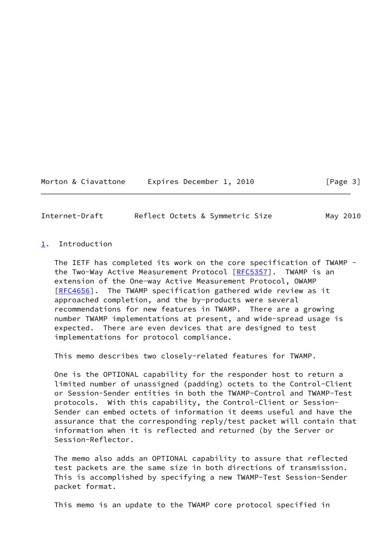Morton & Ciavattone Expires December 1, 2010 [Page 3]

<span id="page-3-1"></span>Internet-Draft Reflect Octets & Symmetric Size May 2010

#### <span id="page-3-0"></span>[1](#page-3-0). Introduction

 The IETF has completed its work on the core specification of TWAMP - the Two-Way Active Measurement Protocol [\[RFC5357](https://datatracker.ietf.org/doc/pdf/rfc5357)]. TWAMP is an extension of the One-way Active Measurement Protocol, OWAMP [\[RFC4656](https://datatracker.ietf.org/doc/pdf/rfc4656)]. The TWAMP specification gathered wide review as it approached completion, and the by-products were several recommendations for new features in TWAMP. There are a growing number TWAMP implementations at present, and wide-spread usage is expected. There are even devices that are designed to test implementations for protocol compliance.

This memo describes two closely-related features for TWAMP.

 One is the OPTIONAL capability for the responder host to return a limited number of unassigned (padding) octets to the Control-Client or Session-Sender entities in both the TWAMP-Control and TWAMP-Test protocols. With this capability, the Control-Client or Session- Sender can embed octets of information it deems useful and have the assurance that the corresponding reply/test packet will contain that information when it is reflected and returned (by the Server or Session-Reflector.

 The memo also adds an OPTIONAL capability to assure that reflected test packets are the same size in both directions of transmission. This is accomplished by specifying a new TWAMP-Test Session-Sender packet format.

This memo is an update to the TWAMP core protocol specified in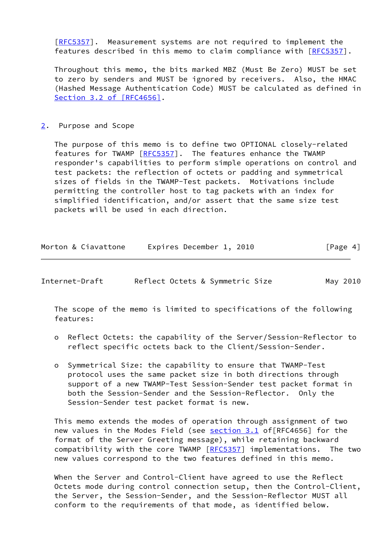[\[RFC5357](https://datatracker.ietf.org/doc/pdf/rfc5357)]. Measurement systems are not required to implement the features described in this memo to claim compliance with [\[RFC5357](https://datatracker.ietf.org/doc/pdf/rfc5357)].

 Throughout this memo, the bits marked MBZ (Must Be Zero) MUST be set to zero by senders and MUST be ignored by receivers. Also, the HMAC (Hashed Message Authentication Code) MUST be calculated as defined in Section [3.2 of \[RFC4656\]](https://datatracker.ietf.org/doc/pdf/rfc4656#section-3.2).

#### <span id="page-4-0"></span>[2](#page-4-0). Purpose and Scope

 The purpose of this memo is to define two OPTIONAL closely-related features for TWAMP [[RFC5357\]](https://datatracker.ietf.org/doc/pdf/rfc5357). The features enhance the TWAMP responder's capabilities to perform simple operations on control and test packets: the reflection of octets or padding and symmetrical sizes of fields in the TWAMP-Test packets. Motivations include permitting the controller host to tag packets with an index for simplified identification, and/or assert that the same size test packets will be used in each direction.

| Morton & Ciavattone | Expires December 1, 2010 | [Page 4] |
|---------------------|--------------------------|----------|
|                     |                          |          |

<span id="page-4-1"></span>

| Internet-Draft |  | Reflect Octets & Symmetric Size | May 2010 |
|----------------|--|---------------------------------|----------|
|----------------|--|---------------------------------|----------|

 The scope of the memo is limited to specifications of the following features:

- o Reflect Octets: the capability of the Server/Session-Reflector to reflect specific octets back to the Client/Session-Sender.
- o Symmetrical Size: the capability to ensure that TWAMP-Test protocol uses the same packet size in both directions through support of a new TWAMP-Test Session-Sender test packet format in both the Session-Sender and the Session-Reflector. Only the Session-Sender test packet format is new.

 This memo extends the modes of operation through assignment of two new values in the Modes Field (see [section 3.1](#page-5-1) of [RFC4656] for the format of the Server Greeting message), while retaining backward compatibility with the core TWAMP [[RFC5357](https://datatracker.ietf.org/doc/pdf/rfc5357)] implementations. The two new values correspond to the two features defined in this memo.

 When the Server and Control-Client have agreed to use the Reflect Octets mode during control connection setup, then the Control-Client, the Server, the Session-Sender, and the Session-Reflector MUST all conform to the requirements of that mode, as identified below.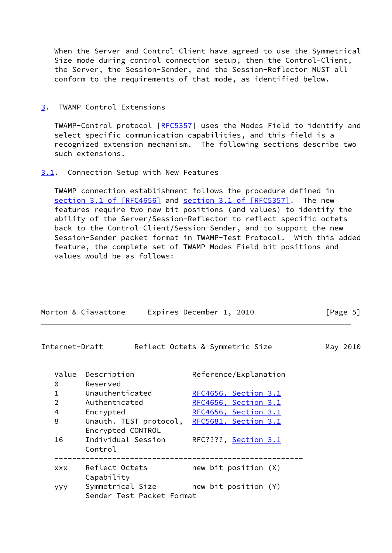When the Server and Control-Client have agreed to use the Symmetrical Size mode during control connection setup, then the Control-Client, the Server, the Session-Sender, and the Session-Reflector MUST all conform to the requirements of that mode, as identified below.

## <span id="page-5-0"></span>[3](#page-5-0). TWAMP Control Extensions

 TWAMP-Control protocol [\[RFC5357](https://datatracker.ietf.org/doc/pdf/rfc5357)] uses the Modes Field to identify and select specific communication capabilities, and this field is a recognized extension mechanism. The following sections describe two such extensions.

## <span id="page-5-1"></span>[3.1](#page-5-1). Connection Setup with New Features

 TWAMP connection establishment follows the procedure defined in section [3.1 of \[RFC4656\]](https://datatracker.ietf.org/doc/pdf/rfc4656#section-3.1) and section [3.1 of \[RFC5357\]](https://datatracker.ietf.org/doc/pdf/rfc5357#section-3.1). The new features require two new bit positions (and values) to identify the ability of the Server/Session-Reflector to reflect specific octets back to the Control-Client/Session-Sender, and to support the new Session-Sender packet format in TWAMP-Test Protocol. With this added feature, the complete set of TWAMP Modes Field bit positions and values would be as follows:

<span id="page-5-2"></span>

|                   | Morton & Ciavattone                                                | Expires December 1, 2010        | [Page 5] |  |
|-------------------|--------------------------------------------------------------------|---------------------------------|----------|--|
| Internet-Draft    |                                                                    | Reflect Octets & Symmetric Size | May 2010 |  |
| Value<br>$\Theta$ | Description<br>Reserved                                            | Reference/Explanation           |          |  |
| $\mathbf{1}$      | Unauthenticated                                                    | RFC4656, Section 3.1            |          |  |
| $\overline{2}$    | Authenticated                                                      | RFC4656, Section 3.1            |          |  |
| $\overline{4}$    | Encrypted                                                          | <u>RFC4656, Section 3.1</u>     |          |  |
| 8                 | Unauth. TEST protocol,<br>Encrypted CONTROL                        | RFC5681, Section 3.1            |          |  |
| 16                | Individual Session<br>Control                                      | RFC????, <u>Section 3.1</u>     |          |  |
| <b>XXX</b>        | Reflect Octets<br>Capability                                       | new bit position $(X)$          |          |  |
| ууу               | Symmetrical Size mew bit position (Y)<br>Sender Test Packet Format |                                 |          |  |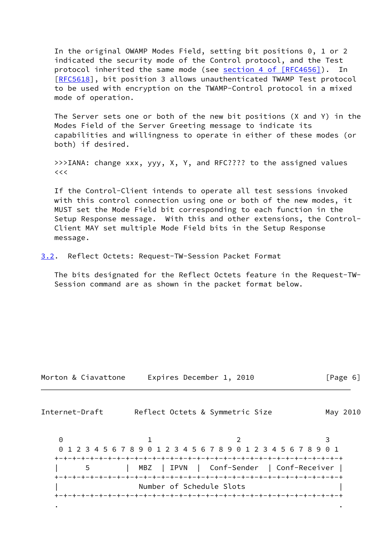In the original OWAMP Modes Field, setting bit positions 0, 1 or 2 indicated the security mode of the Control protocol, and the Test protocol inherited the same mode (see section [4 of \[RFC4656\]](https://datatracker.ietf.org/doc/pdf/rfc4656#section-4)). In [\[RFC5618](https://datatracker.ietf.org/doc/pdf/rfc5618)], bit position 3 allows unauthenticated TWAMP Test protocol to be used with encryption on the TWAMP-Control protocol in a mixed mode of operation.

 The Server sets one or both of the new bit positions (X and Y) in the Modes Field of the Server Greeting message to indicate its capabilities and willingness to operate in either of these modes (or both) if desired.

 >>>IANA: change xxx, yyy, X, Y, and RFC???? to the assigned values  $<<$ 

 If the Control-Client intends to operate all test sessions invoked with this control connection using one or both of the new modes, it MUST set the Mode Field bit corresponding to each function in the Setup Response message. With this and other extensions, the Control- Client MAY set multiple Mode Field bits in the Setup Response message.

<span id="page-6-0"></span>[3.2](#page-6-0). Reflect Octets: Request-TW-Session Packet Format

 The bits designated for the Reflect Octets feature in the Request-TW- Session command are as shown in the packet format below.

| Morton & Ciavattone |  | Expires December 1, 2010 |  | [Page 6] |  |
|---------------------|--|--------------------------|--|----------|--|
|---------------------|--|--------------------------|--|----------|--|

Internet-Draft Reflect Octets & Symmetric Size May 2010

0 1 2 3 0 1 2 3 4 5 6 7 8 9 0 1 2 3 4 5 6 7 8 9 0 1 2 3 4 5 6 7 8 9 0 1 +-+-+-+-+-+-+-+-+-+-+-+-+-+-+-+-+-+-+-+-+-+-+-+-+-+-+-+-+-+-+-+-+ | 5 | MBZ | IPVN | Conf-Sender | Conf-Receiver | +-+-+-+-+-+-+-+-+-+-+-+-+-+-+-+-+-+-+-+-+-+-+-+-+-+-+-+-+-+-+-+-+ Number of Schedule Slots +-+-+-+-+-+-+-+-+-+-+-+-+-+-+-+-+-+-+-+-+-+-+-+-+-+-+-+-+-+-+-+-+ . .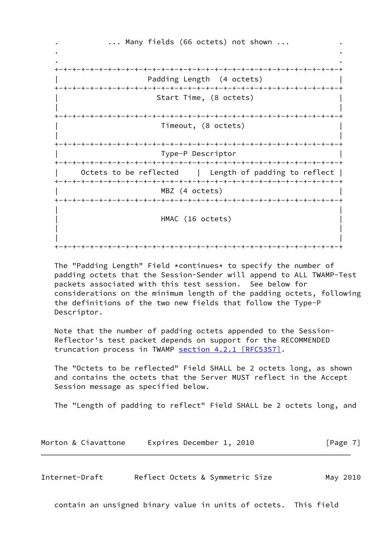... Many fields (66 octets) not shown ... . . . . +-+-+-+-+-+-+-+-+-+-+-+-+-+-+-+-+-+-+-+-+-+-+-+-+-+-+-+-+-+-+-+-+ Padding Length (4 octets) +-+-+-+-+-+-+-+-+-+-+-+-+-+-+-+-+-+-+-+-+-+-+-+-+-+-+-+-+-+-+-+-+ Start Time, (8 octets) | | +-+-+-+-+-+-+-+-+-+-+-+-+-+-+-+-+-+-+-+-+-+-+-+-+-+-+-+-+-+-+-+-+ | Timeout, (8 octets) | | | +-+-+-+-+-+-+-+-+-+-+-+-+-+-+-+-+-+-+-+-+-+-+-+-+-+-+-+-+-+-+-+-+ | Type-P Descriptor | +-+-+-+-+-+-+-+-+-+-+-+-+-+-+-+-+-+-+-+-+-+-+-+-+-+-+-+-+-+-+-+-+ Octets to be reflected | Length of padding to reflect | +-+-+-+-+-+-+-+-+-+-+-+-+-+-+-+-+-+-+-+-+-+-+-+-+-+-+-+-+-+-+-+-+ MBZ (4 octets) +-+-+-+-+-+-+-+-+-+-+-+-+-+-+-+-+-+-+-+-+-+-+-+-+-+-+-+-+-+-+-+-+ | | HMAC (16 octets) | | | | +-+-+-+-+-+-+-+-+-+-+-+-+-+-+-+-+-+-+-+-+-+-+-+-+-+-+-+-+-+-+-+-+

 The "Padding Length" Field \*continues\* to specify the number of padding octets that the Session-Sender will append to ALL TWAMP-Test packets associated with this test session. See below for considerations on the minimum length of the padding octets, following the definitions of the two new fields that follow the Type-P Descriptor.

 Note that the number of padding octets appended to the Session- Reflector's test packet depends on support for the RECOMMENDED truncation process in TWAMP section [4.2.1 \[RFC5357\].](https://datatracker.ietf.org/doc/pdf/rfc5357#section-4.2.1)

 The "Octets to be reflected" Field SHALL be 2 octets long, as shown and contains the octets that the Server MUST reflect in the Accept Session message as specified below.

The "Length of padding to reflect" Field SHALL be 2 octets long, and

|  |  | Morton & Ciavattone |  | Expires December 1, 2010 |  |  | [Page 7] |
|--|--|---------------------|--|--------------------------|--|--|----------|
|--|--|---------------------|--|--------------------------|--|--|----------|

<span id="page-7-0"></span>Internet-Draft Reflect Octets & Symmetric Size May 2010

contain an unsigned binary value in units of octets. This field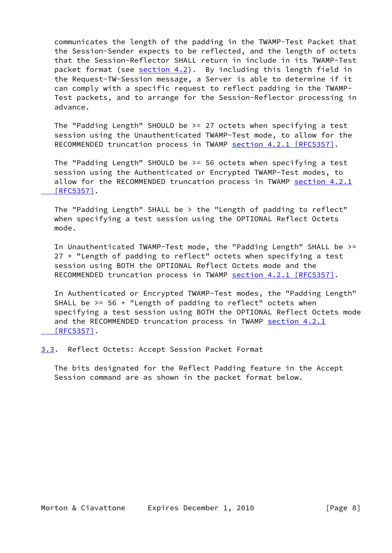communicates the length of the padding in the TWAMP-Test Packet that the Session-Sender expects to be reflected, and the length of octets that the Session-Reflector SHALL return in include in its TWAMP-Test packet format (see [section 4.2](#page-16-0)). By including this length field in the Request-TW-Session message, a Server is able to determine if it can comply with a specific request to reflect padding in the TWAMP- Test packets, and to arrange for the Session-Reflector processing in advance.

 The "Padding Length" SHOULD be >= 27 octets when specifying a test session using the Unauthenticated TWAMP-Test mode, to allow for the RECOMMENDED truncation process in TWAMP section [4.2.1 \[RFC5357\]](https://datatracker.ietf.org/doc/pdf/rfc5357#section-4.2.1).

 The "Padding Length" SHOULD be >= 56 octets when specifying a test session using the Authenticated or Encrypted TWAMP-Test modes, to allow for the RECOMMENDED truncation process in TWAMP [section](https://datatracker.ietf.org/doc/pdf/rfc5357#section-4.2.1) 4.2.1  [\[RFC5357\]](https://datatracker.ietf.org/doc/pdf/rfc5357#section-4.2.1).

 The "Padding Length" SHALL be > the "Length of padding to reflect" when specifying a test session using the OPTIONAL Reflect Octets mode.

 In Unauthenticated TWAMP-Test mode, the "Padding Length" SHALL be >= 27 + "Length of padding to reflect" octets when specifying a test session using BOTH the OPTIONAL Reflect Octets mode and the RECOMMENDED truncation process in TWAMP section [4.2.1 \[RFC5357\]](https://datatracker.ietf.org/doc/pdf/rfc5357#section-4.2.1).

 In Authenticated or Encrypted TWAMP-Test modes, the "Padding Length" SHALL be  $>= 56 +$  "Length of padding to reflect" octets when specifying a test session using BOTH the OPTIONAL Reflect Octets mode and the RECOMMENDED truncation process in TWAMP [section](https://datatracker.ietf.org/doc/pdf/rfc5357#section-4.2.1) 4.2.1  [\[RFC5357\]](https://datatracker.ietf.org/doc/pdf/rfc5357#section-4.2.1).

<span id="page-8-0"></span>[3.3](#page-8-0). Reflect Octets: Accept Session Packet Format

 The bits designated for the Reflect Padding feature in the Accept Session command are as shown in the packet format below.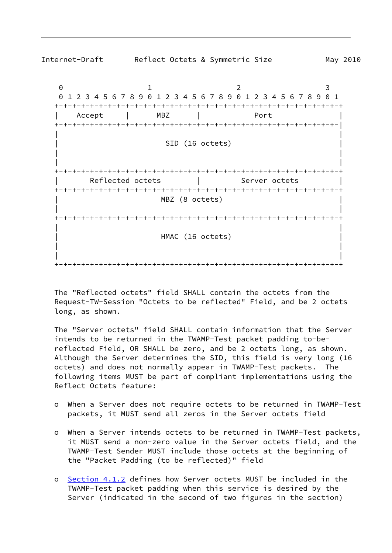

 The "Reflected octets" field SHALL contain the octets from the Request-TW-Session "Octets to be reflected" Field, and be 2 octets long, as shown.

 The "Server octets" field SHALL contain information that the Server intends to be returned in the TWAMP-Test packet padding to-be reflected Field, OR SHALL be zero, and be 2 octets long, as shown. Although the Server determines the SID, this field is very long (16 octets) and does not normally appear in TWAMP-Test packets. The following items MUST be part of compliant implementations using the Reflect Octets feature:

- o When a Server does not require octets to be returned in TWAMP-Test packets, it MUST send all zeros in the Server octets field
- o When a Server intends octets to be returned in TWAMP-Test packets, it MUST send a non-zero value in the Server octets field, and the TWAMP-Test Sender MUST include those octets at the beginning of the "Packet Padding (to be reflected)" field
- o [Section 4.1.2](#page-11-0) defines how Server octets MUST be included in the TWAMP-Test packet padding when this service is desired by the Server (indicated in the second of two figures in the section)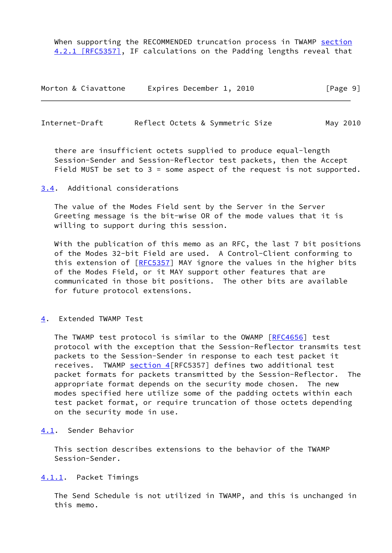When supporting the RECOMMENDED truncation process in TWAMP [section](https://datatracker.ietf.org/doc/pdf/rfc5357#section-4.2.1) [4.2.1 \[RFC5357\]](https://datatracker.ietf.org/doc/pdf/rfc5357#section-4.2.1), IF calculations on the Padding lengths reveal that

| Morton & Ciavattone | Expires December 1, 2010 | [Page 9] |
|---------------------|--------------------------|----------|
|---------------------|--------------------------|----------|

<span id="page-10-1"></span>Internet-Draft Reflect Octets & Symmetric Size May 2010

 there are insufficient octets supplied to produce equal-length Session-Sender and Session-Reflector test packets, then the Accept Field MUST be set to  $3 =$  some aspect of the request is not supported.

<span id="page-10-0"></span>[3.4](#page-10-0). Additional considerations

 The value of the Modes Field sent by the Server in the Server Greeting message is the bit-wise OR of the mode values that it is willing to support during this session.

 With the publication of this memo as an RFC, the last 7 bit positions of the Modes 32-bit Field are used. A Control-Client conforming to this extension of [[RFC5357](https://datatracker.ietf.org/doc/pdf/rfc5357)] MAY ignore the values in the higher bits of the Modes Field, or it MAY support other features that are communicated in those bit positions. The other bits are available for future protocol extensions.

<span id="page-10-2"></span>[4](#page-10-2). Extended TWAMP Test

 The TWAMP test protocol is similar to the OWAMP [\[RFC4656](https://datatracker.ietf.org/doc/pdf/rfc4656)] test protocol with the exception that the Session-Reflector transmits test packets to the Session-Sender in response to each test packet it receives. TWAMP [section 4](#page-10-2) [RFC5357] defines two additional test packet formats for packets transmitted by the Session-Reflector. The appropriate format depends on the security mode chosen. The new modes specified here utilize some of the padding octets within each test packet format, or require truncation of those octets depending on the security mode in use.

<span id="page-10-3"></span>[4.1](#page-10-3). Sender Behavior

 This section describes extensions to the behavior of the TWAMP Session-Sender.

<span id="page-10-4"></span>[4.1.1](#page-10-4). Packet Timings

 The Send Schedule is not utilized in TWAMP, and this is unchanged in this memo.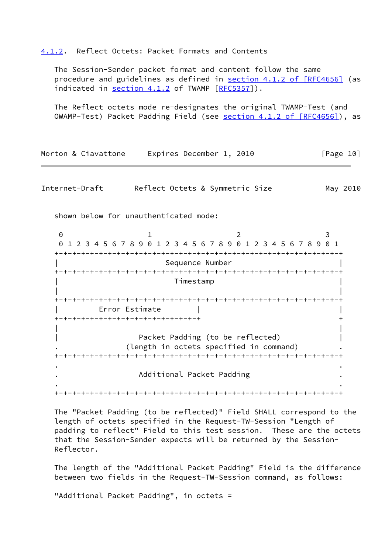#### <span id="page-11-0"></span>[4.1.2](#page-11-0). Reflect Octets: Packet Formats and Contents

 The Session-Sender packet format and content follow the same procedure and guidelines as defined in section [4.1.2 of \[RFC4656\]](https://datatracker.ietf.org/doc/pdf/rfc4656#section-4.1.2) (as indicated in [section 4.1.2](#page-11-0) of TWAMP [\[RFC5357](https://datatracker.ietf.org/doc/pdf/rfc5357)]).

 The Reflect octets mode re-designates the original TWAMP-Test (and OWAMP-Test) Packet Padding Field (see section [4.1.2 of \[RFC4656\]\)](https://datatracker.ietf.org/doc/pdf/rfc4656#section-4.1.2), as

| Morton & Ciavattone               | Expires December 1, 2010                                                    | [Page 10] |
|-----------------------------------|-----------------------------------------------------------------------------|-----------|
| Internet-Draft                    | Reflect Octets & Symmetric Size                                             | May 2010  |
|                                   | shown below for unauthenticated mode:                                       |           |
| $\Theta$                          |                                                                             | 3         |
|                                   | 1 2 3 4 5 6 7 8 9 0 1 2 3 4 5 6 7 8 9 0 1 2 3 4 5 6 7 8 9 0 1               |           |
|                                   | -+-+-+-+-+-<br>Sequence Number                                              |           |
|                                   | Timestamp                                                                   |           |
| +-+-+-+-+-+-+-+-+-+-+-+-+-+-+-+-+ | Error Estimate                                                              |           |
|                                   | Packet Padding (to be reflected)<br>(length in octets specified in command) |           |
|                                   | Additional Packet Padding                                                   |           |
|                                   | -+-+-+-+-+-+-+-+-+-+-+-+-+-+-                                               |           |

 The "Packet Padding (to be reflected)" Field SHALL correspond to the length of octets specified in the Request-TW-Session "Length of padding to reflect" Field to this test session. These are the octets that the Session-Sender expects will be returned by the Session- Reflector.

 The length of the "Additional Packet Padding" Field is the difference between two fields in the Request-TW-Session command, as follows:

"Additional Packet Padding", in octets =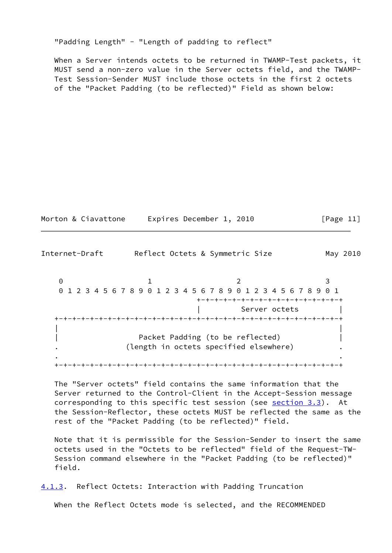"Padding Length" - "Length of padding to reflect"

 When a Server intends octets to be returned in TWAMP-Test packets, it MUST send a non-zero value in the Server octets field, and the TWAMP- Test Session-Sender MUST include those octets in the first 2 octets of the "Packet Padding (to be reflected)" Field as shown below:

| Morton & Ciavattone | Expires December 1, 2010 | [Page 11] |
|---------------------|--------------------------|-----------|
|---------------------|--------------------------|-----------|

Internet-Draft Reflect Octets & Symmetric Size May 2010 0 1 2 3 0 1 2 3 4 5 6 7 8 9 0 1 2 3 4 5 6 7 8 9 0 1 2 3 4 5 6 7 8 9 0 1 +-+-+-+-+-+-+-+-+-+-+-+-+-+-+-+-+ Server octets +-+-+-+-+-+-+-+-+-+-+-+-+-+-+-+-+-+-+-+-+-+-+-+-+-+-+-+-+-+-+-+-+ | | Packet Padding (to be reflected) | | . (length in octets specified elsewhere) . . . +-+-+-+-+-+-+-+-+-+-+-+-+-+-+-+-+-+-+-+-+-+-+-+-+-+-+-+-+-+-+-+-+

 The "Server octets" field contains the same information that the Server returned to the Control-Client in the Accept-Session message corresponding to this specific test session (see [section 3.3](#page-8-0)). At the Session-Reflector, these octets MUST be reflected the same as the rest of the "Packet Padding (to be reflected)" field.

 Note that it is permissible for the Session-Sender to insert the same octets used in the "Octets to be reflected" field of the Request-TW- Session command elsewhere in the "Packet Padding (to be reflected)" field.

<span id="page-12-0"></span>[4.1.3](#page-12-0). Reflect Octets: Interaction with Padding Truncation

When the Reflect Octets mode is selected, and the RECOMMENDED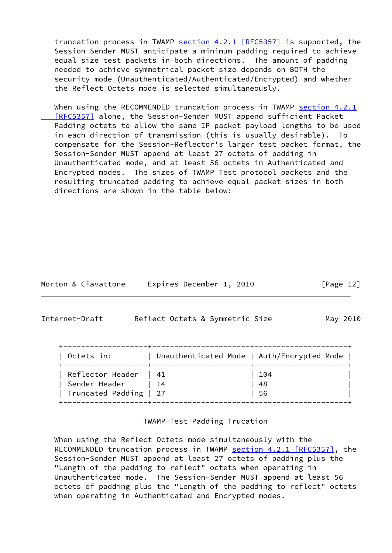truncation process in TWAMP section [4.2.1 \[RFC5357\]](https://datatracker.ietf.org/doc/pdf/rfc5357#section-4.2.1) is supported, the Session-Sender MUST anticipate a minimum padding required to achieve equal size test packets in both directions. The amount of padding needed to achieve symmetrical packet size depends on BOTH the security mode (Unauthenticated/Authenticated/Encrypted) and whether the Reflect Octets mode is selected simultaneously.

When using the RECOMMENDED truncation process in TWAMP [section](https://datatracker.ietf.org/doc/pdf/rfc5357#section-4.2.1) 4.2.1  [\[RFC5357\]](https://datatracker.ietf.org/doc/pdf/rfc5357#section-4.2.1) alone, the Session-Sender MUST append sufficient Packet Padding octets to allow the same IP packet payload lengths to be used in each direction of transmission (this is usually desirable). To compensate for the Session-Reflector's larger test packet format, the Session-Sender MUST append at least 27 octets of padding in Unauthenticated mode, and at least 56 octets in Authenticated and Encrypted modes. The sizes of TWAMP Test protocol packets and the resulting truncated padding to achieve equal packet sizes in both directions are shown in the table below:

|  |  | Morton & Ciavattone |  | Expires December 1, 2010 |  |  | [Page 12] |  |
|--|--|---------------------|--|--------------------------|--|--|-----------|--|
|--|--|---------------------|--|--------------------------|--|--|-----------|--|

<span id="page-13-0"></span>Internet-Draft Reflect Octets & Symmetric Size May 2010

| Octets in:             | Unauthenticated Mode   Auth/Encrypted Mode |     |
|------------------------|--------------------------------------------|-----|
| Reflector Header   41  |                                            | 104 |
| Sender Header          | $\begin{array}{ccc} & 14 \end{array}$      | 48  |
| Truncated Padding   27 |                                            | 56  |

TWAMP-Test Padding Trucation

 When using the Reflect Octets mode simultaneously with the RECOMMENDED truncation process in TWAMP section [4.2.1 \[RFC5357\]](https://datatracker.ietf.org/doc/pdf/rfc5357#section-4.2.1), the Session-Sender MUST append at least 27 octets of padding plus the "Length of the padding to reflect" octets when operating in Unauthenticated mode. The Session-Sender MUST append at least 56 octets of padding plus the "Length of the padding to reflect" octets when operating in Authenticated and Encrypted modes.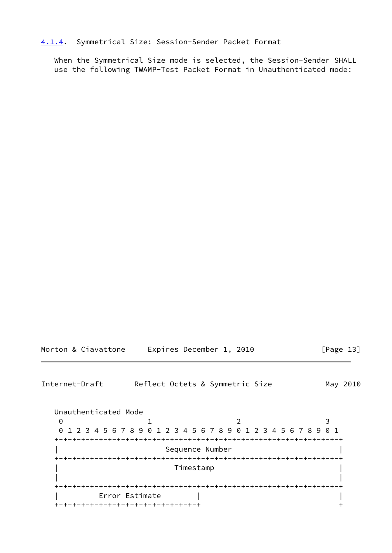#### <span id="page-14-0"></span>[4.1.4](#page-14-0). Symmetrical Size: Session-Sender Packet Format

 When the Symmetrical Size mode is selected, the Session-Sender SHALL use the following TWAMP-Test Packet Format in Unauthenticated mode:

|  | Morton & Ciavattone | Expires December 1, 2010 |  | [Page 13] |  |
|--|---------------------|--------------------------|--|-----------|--|
|  |                     |                          |  |           |  |

<span id="page-14-1"></span>Internet-Draft Reflect Octets & Symmetric Size May 2010

 Unauthenticated Mode 0 1 2 3 0 1 2 3 4 5 6 7 8 9 0 1 2 3 4 5 6 7 8 9 0 1 2 3 4 5 6 7 8 9 0 1 +-+-+-+-+-+-+-+-+-+-+-+-+-+-+-+-+-+-+-+-+-+-+-+-+-+-+-+-+-+-+-+-+ | Sequence Number | +-+-+-+-+-+-+-+-+-+-+-+-+-+-+-+-+-+-+-+-+-+-+-+-+-+-+-+-+-+-+-+-+ | Timestamp | | | +-+-+-+-+-+-+-+-+-+-+-+-+-+-+-+-+-+-+-+-+-+-+-+-+-+-+-+-+-+-+-+-+ | Error Estimate | | +-+-+-+-+-+-+-+-+-+-+-+-+-+-+-+-+ +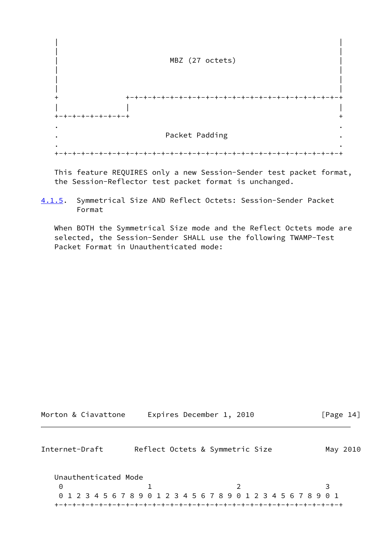

 This feature REQUIRES only a new Session-Sender test packet format, the Session-Reflector test packet format is unchanged.

<span id="page-15-1"></span>[4.1.5](#page-15-1). Symmetrical Size AND Reflect Octets: Session-Sender Packet Format

 When BOTH the Symmetrical Size mode and the Reflect Octets mode are selected, the Session-Sender SHALL use the following TWAMP-Test Packet Format in Unauthenticated mode:

<span id="page-15-0"></span>

| Morton & Ciavattone  | Expires December 1, 2010 |                                                                 | [Page $14$ ] |
|----------------------|--------------------------|-----------------------------------------------------------------|--------------|
| Internet-Draft       |                          | Reflect Octets & Symmetric Size                                 | May 2010     |
| Unauthenticated Mode |                          |                                                                 |              |
| 0                    |                          | $\mathcal{P}$                                                   |              |
|                      |                          | 0 1 2 3 4 5 6 7 8 9 0 1 2 3 4 5 6 7 8 9 0 1 2 3 4 5 6 7 8 9 0 1 |              |
|                      |                          |                                                                 |              |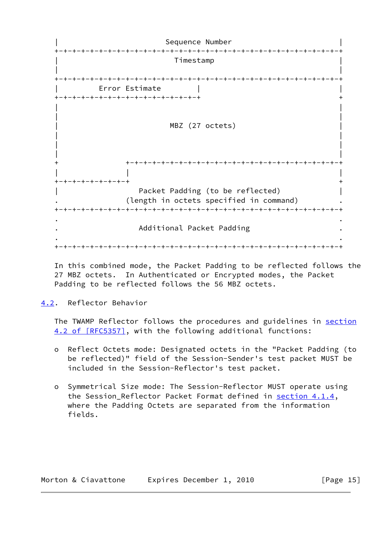Sequence Number +-+-+-+-+-+-+-+-+-+-+-+-+-+-+-+-+-+-+-+-+-+-+-+-+-+-+-+-+-+-+-+-+ | Timestamp | | | +-+-+-+-+-+-+-+-+-+-+-+-+-+-+-+-+-+-+-+-+-+-+-+-+-+-+-+-+-+-+-+-+ Error Estimate +-+-+-+-+-+-+-+-+-+-+-+-+-+-+-+-+ + | | | | MBZ (27 octets) | | | | | | + +-+-+-+-+-+-+-+-+-+-+-+-+-+-+-+-+-+-+-+-+-+-+-+-+ | | | +-+-+-+-+-+-+-+-+ + Packet Padding (to be reflected) | | (length in octets specified in command) +-+-+-+-+-+-+-+-+-+-+-+-+-+-+-+-+-+-+-+-+-+-+-+-+-+-+-+-+-+-+-+-+ . . . Additional Packet Padding . . . +-+-+-+-+-+-+-+-+-+-+-+-+-+-+-+-+-+-+-+-+-+-+-+-+-+-+-+-+-+-+-+-+

 In this combined mode, the Packet Padding to be reflected follows the 27 MBZ octets. In Authenticated or Encrypted modes, the Packet Padding to be reflected follows the 56 MBZ octets.

<span id="page-16-0"></span>[4.2](#page-16-0). Reflector Behavior

 The TWAMP Reflector follows the procedures and guidelines in [section](https://datatracker.ietf.org/doc/pdf/rfc5357#section-4.2) [4.2 of \[RFC5357\]](https://datatracker.ietf.org/doc/pdf/rfc5357#section-4.2), with the following additional functions:

- o Reflect Octets mode: Designated octets in the "Packet Padding (to be reflected)" field of the Session-Sender's test packet MUST be included in the Session-Reflector's test packet.
- o Symmetrical Size mode: The Session-Reflector MUST operate using the Session\_Reflector Packet Format defined in [section 4.1.4,](#page-14-0) where the Padding Octets are separated from the information fields.

| Morton & Ciavattone | Expires December 1, 2010 | [Page $15$ ] |
|---------------------|--------------------------|--------------|
|---------------------|--------------------------|--------------|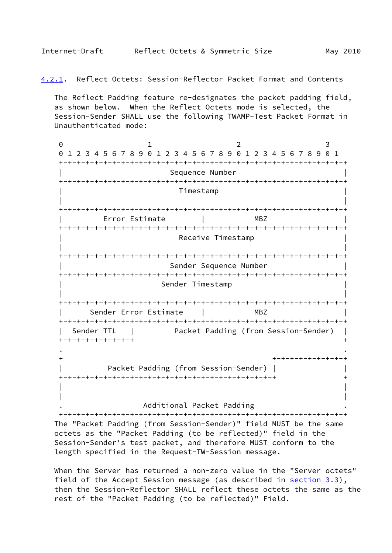<span id="page-17-1"></span><span id="page-17-0"></span>[4.2.1](#page-17-1). Reflect Octets: Session-Reflector Packet Format and Contents

 The Reflect Padding feature re-designates the packet padding field, as shown below. When the Reflect Octets mode is selected, the Session-Sender SHALL use the following TWAMP-Test Packet Format in Unauthenticated mode:

0 1 2 3 0 1 2 3 4 5 6 7 8 9 0 1 2 3 4 5 6 7 8 9 0 1 2 3 4 5 6 7 8 9 0 1 +-+-+-+-+-+-+-+-+-+-+-+-+-+-+-+-+-+-+-+-+-+-+-+-+-+-+-+-+-+-+-+-+ Sequence Number +-+-+-+-+-+-+-+-+-+-+-+-+-+-+-+-+-+-+-+-+-+-+-+-+-+-+-+-+-+-+-+-+ | Timestamp | | | +-+-+-+-+-+-+-+-+-+-+-+-+-+-+-+-+-+-+-+-+-+-+-+-+-+-+-+-+-+-+-+-+ | Error Estimate | MBZ | +-+-+-+-+-+-+-+-+-+-+-+-+-+-+-+-+-+-+-+-+-+-+-+-+-+-+-+-+-+-+-+-+ Receive Timestamp | | +-+-+-+-+-+-+-+-+-+-+-+-+-+-+-+-+-+-+-+-+-+-+-+-+-+-+-+-+-+-+-+-+ Sender Sequence Number +-+-+-+-+-+-+-+-+-+-+-+-+-+-+-+-+-+-+-+-+-+-+-+-+-+-+-+-+-+-+-+-+ Sender Timestamp | | +-+-+-+-+-+-+-+-+-+-+-+-+-+-+-+-+-+-+-+-+-+-+-+-+-+-+-+-+-+-+-+-+ | Sender Error Estimate | MBZ | +-+-+-+-+-+-+-+-+-+-+-+-+-+-+-+-+-+-+-+-+-+-+-+-+-+-+-+-+-+-+-+-+ | Sender TTL | Packet Padding (from Session-Sender) | +-+-+-+-+-+-+-+-+ + . . + +-+-+-+-+-+-+-+-+ | Packet Padding (from Session-Sender) | | +-+-+-+-+-+-+-+-+-+-+-+-+-+-+-+-+-+-+-+-+-+-+-+-+ + | | | |

. Additional Packet Padding .

 +-+-+-+-+-+-+-+-+-+-+-+-+-+-+-+-+-+-+-+-+-+-+-+-+-+-+-+-+-+-+-+-+ The "Packet Padding (from Session-Sender)" field MUST be the same octets as the "Packet Padding (to be reflected)" field in the Session-Sender's test packet, and therefore MUST conform to the length specified in the Request-TW-Session message.

 When the Server has returned a non-zero value in the "Server octets" field of the Accept Session message (as described in [section 3.3](#page-8-0)), then the Session-Reflector SHALL reflect these octets the same as the rest of the "Packet Padding (to be reflected)" Field.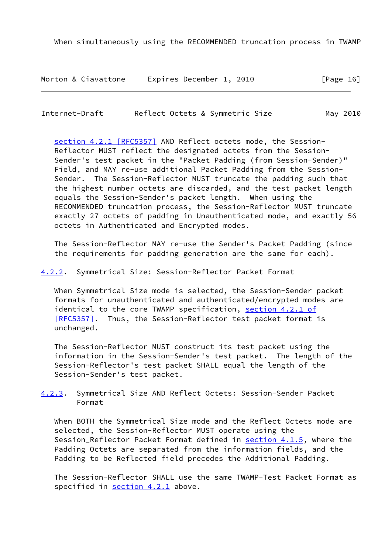When simultaneously using the RECOMMENDED truncation process in TWAMP

Morton & Ciavattone Expires December 1, 2010 [Page 16]

<span id="page-18-1"></span>Internet-Draft Reflect Octets & Symmetric Size May 2010

 section [4.2.1 \[RFC5357\]](https://datatracker.ietf.org/doc/pdf/rfc5357#section-4.2.1) AND Reflect octets mode, the Session- Reflector MUST reflect the designated octets from the Session- Sender's test packet in the "Packet Padding (from Session-Sender)" Field, and MAY re-use additional Packet Padding from the Session- Sender. The Session-Reflector MUST truncate the padding such that the highest number octets are discarded, and the test packet length equals the Session-Sender's packet length. When using the RECOMMENDED truncation process, the Session-Reflector MUST truncate exactly 27 octets of padding in Unauthenticated mode, and exactly 56 octets in Authenticated and Encrypted modes.

 The Session-Reflector MAY re-use the Sender's Packet Padding (since the requirements for padding generation are the same for each).

<span id="page-18-0"></span>[4.2.2](#page-18-0). Symmetrical Size: Session-Reflector Packet Format

 When Symmetrical Size mode is selected, the Session-Sender packet formats for unauthenticated and authenticated/encrypted modes are identical to the core TWAMP specification, section [4.2.1 of](https://datatracker.ietf.org/doc/pdf/rfc5357#section-4.2.1) [RFC5357]. Thus, the Session-Reflector test packet format is unchanged.

 The Session-Reflector MUST construct its test packet using the information in the Session-Sender's test packet. The length of the Session-Reflector's test packet SHALL equal the length of the Session-Sender's test packet.

<span id="page-18-2"></span>[4.2.3](#page-18-2). Symmetrical Size AND Reflect Octets: Session-Sender Packet Format

 When BOTH the Symmetrical Size mode and the Reflect Octets mode are selected, the Session-Reflector MUST operate using the Session\_Reflector Packet Format defined in [section 4.1.5,](#page-15-1) where the Padding Octets are separated from the information fields, and the Padding to be Reflected field precedes the Additional Padding.

 The Session-Reflector SHALL use the same TWAMP-Test Packet Format as specified in [section 4.2.1](#page-17-1) above.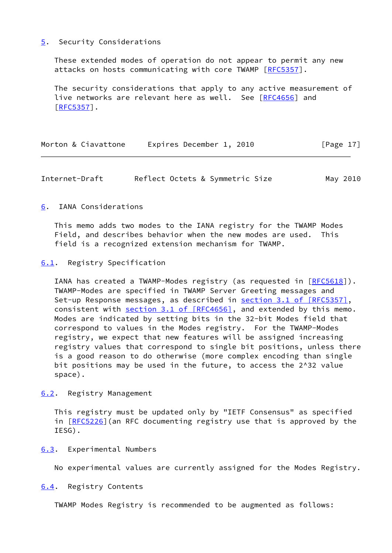#### <span id="page-19-0"></span>[5](#page-19-0). Security Considerations

 These extended modes of operation do not appear to permit any new attacks on hosts communicating with core TWAMP [\[RFC5357](https://datatracker.ietf.org/doc/pdf/rfc5357)].

 The security considerations that apply to any active measurement of live networks are relevant here as well. See [[RFC4656](https://datatracker.ietf.org/doc/pdf/rfc4656)] and [\[RFC5357](https://datatracker.ietf.org/doc/pdf/rfc5357)].

|  | Morton & Ciavattone | Expires December 1, 2010 | [Page 17] |
|--|---------------------|--------------------------|-----------|
|--|---------------------|--------------------------|-----------|

<span id="page-19-2"></span>Internet-Draft Reflect Octets & Symmetric Size May 2010

## <span id="page-19-1"></span>[6](#page-19-1). IANA Considerations

 This memo adds two modes to the IANA registry for the TWAMP Modes Field, and describes behavior when the new modes are used. This field is a recognized extension mechanism for TWAMP.

## <span id="page-19-3"></span>[6.1](#page-19-3). Registry Specification

IANA has created a TWAMP-Modes registry (as requested in [\[RFC5618](https://datatracker.ietf.org/doc/pdf/rfc5618)]). TWAMP-Modes are specified in TWAMP Server Greeting messages and Set-up Response messages, as described in section [3.1 of \[RFC5357\]](https://datatracker.ietf.org/doc/pdf/rfc5357#section-3.1), consistent with section [3.1 of \[RFC4656\]](https://datatracker.ietf.org/doc/pdf/rfc4656#section-3.1), and extended by this memo. Modes are indicated by setting bits in the 32-bit Modes field that correspond to values in the Modes registry. For the TWAMP-Modes registry, we expect that new features will be assigned increasing registry values that correspond to single bit positions, unless there is a good reason to do otherwise (more complex encoding than single bit positions may be used in the future, to access the 2^32 value space).

<span id="page-19-4"></span>[6.2](#page-19-4). Registry Management

 This registry must be updated only by "IETF Consensus" as specified in [[RFC5226\]](https://datatracker.ietf.org/doc/pdf/rfc5226) (an RFC documenting registry use that is approved by the IESG).

<span id="page-19-5"></span>[6.3](#page-19-5). Experimental Numbers

No experimental values are currently assigned for the Modes Registry.

<span id="page-19-6"></span>[6.4](#page-19-6). Registry Contents

TWAMP Modes Registry is recommended to be augmented as follows: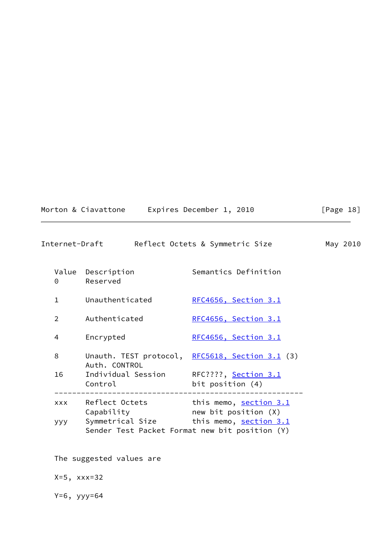$[Page 18]$ 

<span id="page-20-0"></span>

|                | Internet-Draft                                     | Reflect Octets & Symmetric Size                                                           | May 2010 |  |
|----------------|----------------------------------------------------|-------------------------------------------------------------------------------------------|----------|--|
| $\Theta$       | Value Description<br>Reserved                      | Semantics Definition                                                                      |          |  |
| $\mathbf{1}$   | Unauthenticated                                    | RFC4656, Section 3.1                                                                      |          |  |
| $\overline{2}$ | Authenticated                                      | RFC4656, Section 3.1                                                                      |          |  |
| 4              | Encrypted                                          | RFC4656, Section 3.1                                                                      |          |  |
| 8              | Auth. CONTROL                                      | Unauth. TEST protocol, RFC5618, Section 3.1 (3)                                           |          |  |
| 16             | Individual Session RFC????, Section 3.1<br>Control | bit position (4)                                                                          |          |  |
| <b>XXX</b>     | Capability                                         | Reflect Octets this memo, <u>section 3.1</u><br>new bit position (X)                      |          |  |
| ууу            |                                                    | Symmetrical Size this memo, section 3.1<br>Sender Test Packet Format new bit position (Y) |          |  |
|                | The suggested values are                           |                                                                                           |          |  |

X=5, xxx=32

Y=6, yyy=64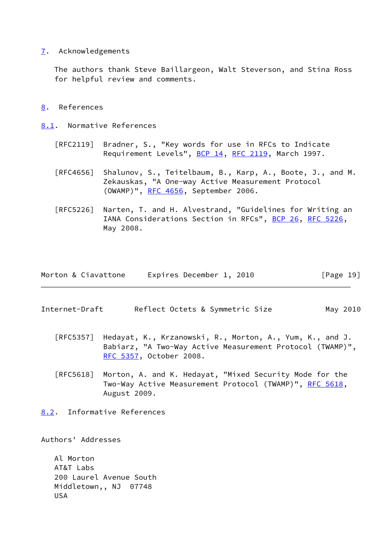### <span id="page-21-0"></span>[7](#page-21-0). Acknowledgements

 The authors thank Steve Baillargeon, Walt Steverson, and Stina Ross for helpful review and comments.

## <span id="page-21-1"></span>[8](#page-21-1). References

<span id="page-21-2"></span>[8.1](#page-21-2). Normative References

- [RFC2119] Bradner, S., "Key words for use in RFCs to Indicate Requirement Levels", [BCP 14](https://datatracker.ietf.org/doc/pdf/bcp14), [RFC 2119](https://datatracker.ietf.org/doc/pdf/rfc2119), March 1997.
- [RFC4656] Shalunov, S., Teitelbaum, B., Karp, A., Boote, J., and M. Zekauskas, "A One-way Active Measurement Protocol (OWAMP)", [RFC 4656](https://datatracker.ietf.org/doc/pdf/rfc4656), September 2006.
- [RFC5226] Narten, T. and H. Alvestrand, "Guidelines for Writing an IANA Considerations Section in RFCs", [BCP 26](https://datatracker.ietf.org/doc/pdf/bcp26), [RFC 5226](https://datatracker.ietf.org/doc/pdf/rfc5226), May 2008.

| Morton & Ciavattone | Expires December 1, 2010 | [Page 19] |
|---------------------|--------------------------|-----------|
|---------------------|--------------------------|-----------|

- <span id="page-21-4"></span>Internet-Draft Reflect Octets & Symmetric Size May 2010
	- [RFC5357] Hedayat, K., Krzanowski, R., Morton, A., Yum, K., and J. Babiarz, "A Two-Way Active Measurement Protocol (TWAMP)", [RFC 5357,](https://datatracker.ietf.org/doc/pdf/rfc5357) October 2008.
	- [RFC5618] Morton, A. and K. Hedayat, "Mixed Security Mode for the Two-Way Active Measurement Protocol (TWAMP)", [RFC 5618](https://datatracker.ietf.org/doc/pdf/rfc5618), August 2009.
- <span id="page-21-3"></span>[8.2](#page-21-3). Informative References

Authors' Addresses

 Al Morton AT&T Labs 200 Laurel Avenue South Middletown,, NJ 07748 USA